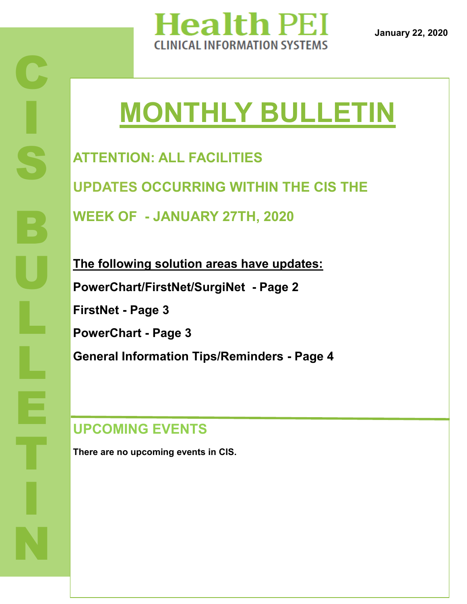

**January 22, 2020**

# **MONTHLY BULLETIN**

**ATTENTION: ALL FACILITIES UPDATES OCCURRING WITHIN THE CIS THE WEEK OF - JANUARY 27TH, 2020**

**The following solution areas have updates: PowerChart/FirstNet/SurgiNet - Page 2 FirstNet - Page 3 PowerChart - Page 3 General Information Tips/Reminders - Page 4**

### **UPCOMING EVENTS**

**There are no upcoming events in CIS.**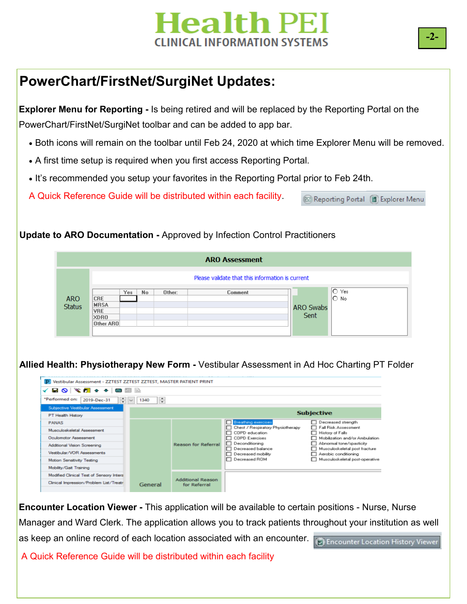# **Health PEI INICAL INFORMATION SYSTEMS**

### **PowerChart/FirstNet/SurgiNet Updates:**

**Explorer Menu for Reporting -** Is being retired and will be replaced by the Reporting Portal on the PowerChart/FirstNet/SurgiNet toolbar and can be added to app bar.

- Both icons will remain on the toolbar until Feb 24, 2020 at which time Explorer Menu will be removed.
- A first time setup is required when you first access Reporting Portal.
- It's recommended you setup your favorites in the Reporting Portal prior to Feb 24th.

A Quick Reference Guide will be distributed within each facility.

### **Update to ARO Documentation -** Approved by Infection Control Practitioners



### **Allied Health: Physiotherapy New Form -** Vestibular Assessment in Ad Hoc Charting PT Folder

| √ B O │ S @ ↑ ↑ │ ® ⊠  ⊵                                                                                                                                                                        |           |                                          |                                                                                                                                                                                   |                                                                                                                                                                                                                           |
|-------------------------------------------------------------------------------------------------------------------------------------------------------------------------------------------------|-----------|------------------------------------------|-----------------------------------------------------------------------------------------------------------------------------------------------------------------------------------|---------------------------------------------------------------------------------------------------------------------------------------------------------------------------------------------------------------------------|
| *Performed on:<br>÷v<br>2019-Dec-31                                                                                                                                                             | ÷<br>1340 |                                          |                                                                                                                                                                                   |                                                                                                                                                                                                                           |
| Subjective Vestibular Assessment                                                                                                                                                                |           |                                          |                                                                                                                                                                                   |                                                                                                                                                                                                                           |
| PT Health History                                                                                                                                                                               |           |                                          |                                                                                                                                                                                   | <b>Subjective</b>                                                                                                                                                                                                         |
| <b>PANAS</b><br>Musculoskeletal Assessment<br><b>Oculomotor Assessment</b><br>Additional Vision Screening<br>Vestibular/VOR Assessments<br>Motion Sensitivity Testing<br>Mobility/Gait Training |           | <b>Reason for Referral</b>               | <b>Breathing exercises</b><br>Chest / Respiratory Physiotherapy<br>COPD education<br>COPD Exercises<br>Deconditioning<br>Decreased balance<br>Decreased mobility<br>Decreased ROM | Decreased strength<br>Fall Risk Assessment<br>History of Falls<br>□ Mobilization and/or Ambulation<br>Abnormal tone/spasticity<br>Musculoskeletal post fracture<br>Aerobic conditioning<br>Musculoskeletal post-operative |
| Modified Clinical Test of Sensory Interal<br>Clinical Impression/Problem List/Treatr                                                                                                            | General   | <b>Additional Reason</b><br>for Referral |                                                                                                                                                                                   |                                                                                                                                                                                                                           |

**Encounter Location Viewer -** This application will be available to certain positions - Nurse, Nurse Manager and Ward Clerk. The application allows you to track patients throughout your institution as well as keep an online record of each location associated with an encounter. D Encounter Location History Viewer A Quick Reference Guide will be distributed within each facility

Reporting Portal **B** Explorer Menu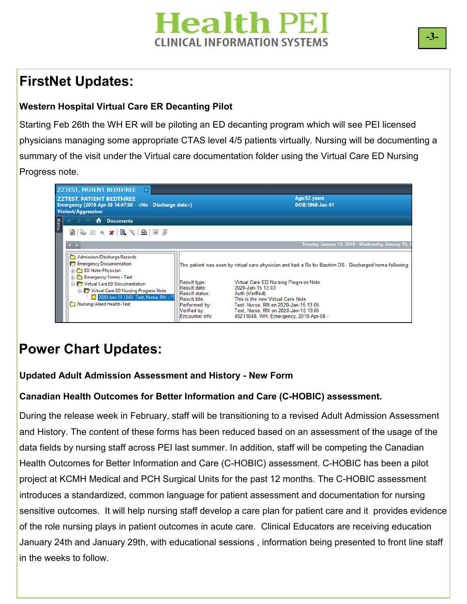# **Tealth PEI INICAL INFORMATION SYSTEMS**

### **FirstNet Updates:**

### **Western Hospital Virtual Care ER Decanting Pilot**

Starting Feb 26th the WH ER will be piloting an ED decanting program which will see PEI licensed physicians managing some appropriate CTAS level 4/5 patients virtually. Nursing will be documenting a summary of the visit under the Virtual care documentation folder using the Virtual Care ED Nursing Progress note.



### **Power Chart Updates:**

### **Updated Adult Admission Assessment and History - New Form**

### **Canadian Health Outcomes for Better Information and Care (C-HOBIC) assessment.**

During the release week in February, staff will be transitioning to a revised Adult Admission Assessment and History. The content of these forms has been reduced based on an assessment of the usage of the data fields by nursing staff across PEI last summer. In addition, staff will be competing the Canadian Health Outcomes for Better Information and Care (C-HOBIC) assessment. C-HOBIC has been a pilot project at KCMH Medical and PCH Surgical Units for the past 12 months. The C-HOBIC assessment introduces a standardized, common language for patient assessment and documentation for nursing sensitive outcomes. It will help nursing staff develop a care plan for patient care and it provides evidence of the role nursing plays in patient outcomes in acute care. Clinical Educators are receiving education January 24th and January 29th, with educational sessions , information being presented to front line staff in the weeks to follow.